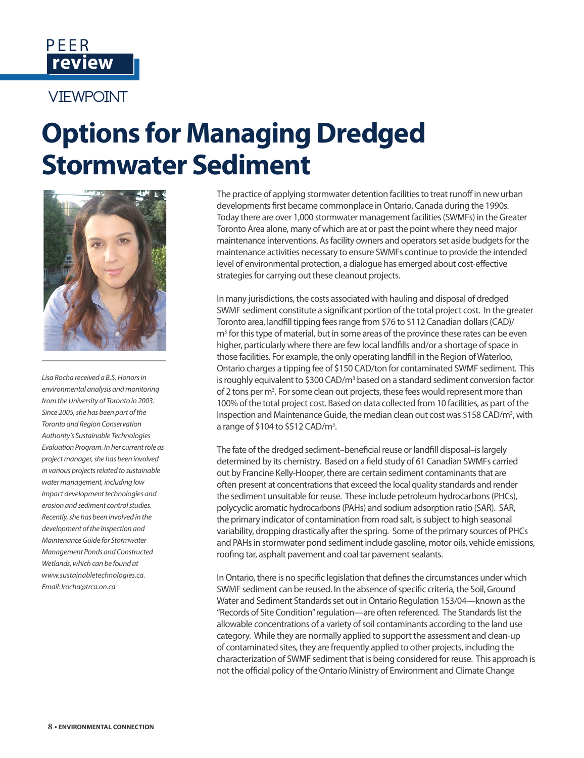

## **VIFWPOINT**

## **Options for Managing Dredged Stormwater Sediment**



*Lisa Rocha received a B.S. Honors in environmental analysis and monitoring from the University of Toronto in 2003. Since 2005, she has been part of the Toronto and Region Conservation Authority's Sustainable Technologies Evaluation Program. In her current role as project manager, she has been involved in various projects related to sustainable water management, including low impact development technologies and erosion and sediment control studies. Recently, she has been involved in the development of the Inspection and Maintenance Guide for Stormwater Management Ponds and Constructed Wetlands, which can be found at www.sustainabletechnologies.ca. Email: lrocha@trca.on.ca*

The practice of applying stormwater detention facilities to treat runoff in new urban developments first became commonplace in Ontario, Canada during the 1990s. Today there are over 1,000 stormwater management facilities (SWMFs) in the Greater Toronto Area alone, many of which are at or past the point where they need major maintenance interventions. As facility owners and operators set aside budgets for the maintenance activities necessary to ensure SWMFs continue to provide the intended level of environmental protection, a dialogue has emerged about cost-effective strategies for carrying out these cleanout projects.

In many jurisdictions, the costs associated with hauling and disposal of dredged SWMF sediment constitute a significant portion of the total project cost. In the greater Toronto area, landfill tipping fees range from \$76 to \$112 Canadian dollars (CAD)/ m<sup>3</sup> for this type of material, but in some areas of the province these rates can be even higher, particularly where there are few local landfills and/or a shortage of space in those facilities. For example, the only operating landfill in the Region of Waterloo, Ontario charges a tipping fee of \$150 CAD/ton for contaminated SWMF sediment. This is roughly equivalent to \$300 CAD/m<sup>3</sup> based on a standard sediment conversion factor of 2 tons per m<sup>3</sup>. For some clean out projects, these fees would represent more than 100% of the total project cost. Based on data collected from 10 facilities, as part of the Inspection and Maintenance Guide, the median clean out cost was \$158 CAD/m<sup>3</sup>, with a range of \$104 to \$512 CAD/ $m<sup>3</sup>$ .

The fate of the dredged sediment–beneficial reuse or landfill disposal–is largely determined by its chemistry. Based on a field study of 61 Canadian SWMFs carried out by Francine Kelly-Hooper, there are certain sediment contaminants that are often present at concentrations that exceed the local quality standards and render the sediment unsuitable for reuse. These include petroleum hydrocarbons (PHCs), polycyclic aromatic hydrocarbons (PAHs) and sodium adsorption ratio (SAR). SAR, the primary indicator of contamination from road salt, is subject to high seasonal variability, dropping drastically after the spring. Some of the primary sources of PHCs and PAHs in stormwater pond sediment include gasoline, motor oils, vehicle emissions, roofing tar, asphalt pavement and coal tar pavement sealants.

In Ontario, there is no specific legislation that defines the circumstances under which SWMF sediment can be reused. In the absence of specific criteria, the Soil, Ground Water and Sediment Standards set out in Ontario Regulation 153/04—known as the "Records of Site Condition" regulation—are often referenced. The Standards list the allowable concentrations of a variety of soil contaminants according to the land use category. While they are normally applied to support the assessment and clean-up of contaminated sites, they are frequently applied to other projects, including the characterization of SWMF sediment that is being considered for reuse. This approach is not the official policy of the Ontario Ministry of Environment and Climate Change